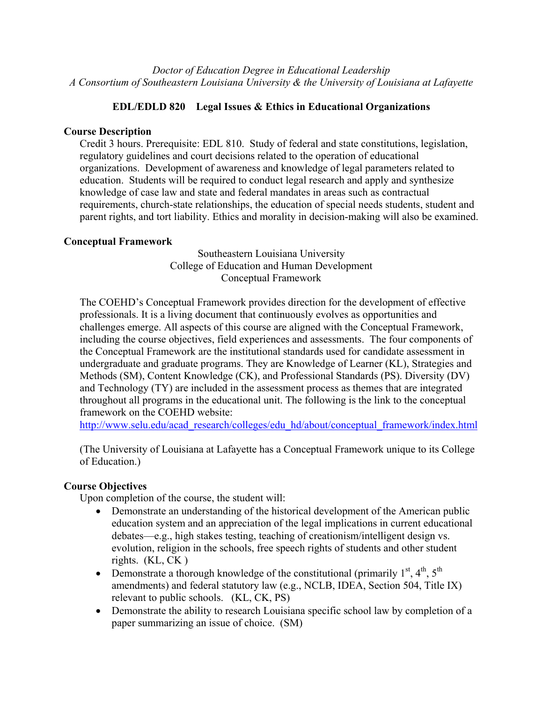*Doctor of Education Degree in Educational Leadership A Consortium of Southeastern Louisiana University & the University of Louisiana at Lafayette*

# **EDL/EDLD 820 Legal Issues & Ethics in Educational Organizations**

### **Course Description**

Credit 3 hours. Prerequisite: EDL 810. Study of federal and state constitutions, legislation, regulatory guidelines and court decisions related to the operation of educational organizations. Development of awareness and knowledge of legal parameters related to education. Students will be required to conduct legal research and apply and synthesize knowledge of case law and state and federal mandates in areas such as contractual requirements, church-state relationships, the education of special needs students, student and parent rights, and tort liability. Ethics and morality in decision-making will also be examined.

## **Conceptual Framework**

Southeastern Louisiana University College of Education and Human Development Conceptual Framework

The COEHD's Conceptual Framework provides direction for the development of effective professionals. It is a living document that continuously evolves as opportunities and challenges emerge. All aspects of this course are aligned with the Conceptual Framework, including the course objectives, field experiences and assessments. The four components of the Conceptual Framework are the institutional standards used for candidate assessment in undergraduate and graduate programs. They are Knowledge of Learner (KL), Strategies and Methods (SM), Content Knowledge (CK), and Professional Standards (PS). Diversity (DV) and Technology (TY) are included in the assessment process as themes that are integrated throughout all programs in the educational unit. The following is the link to the conceptual framework on the COEHD website:

http://www.selu.edu/acad\_research/colleges/edu\_hd/about/conceptual\_framework/index.html

(The University of Louisiana at Lafayette has a Conceptual Framework unique to its College of Education.)

# **Course Objectives**

Upon completion of the course, the student will:

- Demonstrate an understanding of the historical development of the American public education system and an appreciation of the legal implications in current educational debates—e.g., high stakes testing, teaching of creationism/intelligent design vs. evolution, religion in the schools, free speech rights of students and other student rights. (KL, CK )
- Demonstrate a thorough knowledge of the constitutional (primarily  $1^{st}$ ,  $4^{th}$ ,  $5^{th}$ ) amendments) and federal statutory law (e.g., NCLB, IDEA, Section 504, Title IX) relevant to public schools. (KL, CK, PS)
- Demonstrate the ability to research Louisiana specific school law by completion of a paper summarizing an issue of choice. (SM)